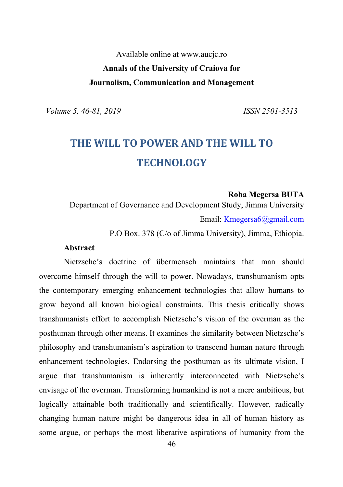Available online at www.aucjc.ro **Annals of the University of Craiova for Journalism, Communication and Management**

*Volume 5, 46-81, 2019 ISSN 2501-3513*

# **THE WILL TO POWER AND THE WILL TO TECHNOLOGY**

#### **Roba Megersa BUTA**

Department of Governance and Development Study, Jimma University Email: Kmegersa6@gmail.com

P.O Box. 378 (C/o of Jimma University), Jimma, Ethiopia.

#### **Abstract**

Nietzsche's doctrine of übermensch maintains that man should overcome himself through the will to power. Nowadays, transhumanism opts the contemporary emerging enhancement technologies that allow humans to grow beyond all known biological constraints. This thesis critically shows transhumanists effort to accomplish Nietzsche's vision of the overman as the posthuman through other means. It examines the similarity between Nietzsche's philosophy and transhumanism's aspiration to transcend human nature through enhancement technologies. Endorsing the posthuman as its ultimate vision, I argue that transhumanism is inherently interconnected with Nietzsche's envisage of the overman. Transforming humankind is not a mere ambitious, but logically attainable both traditionally and scientifically. However, radically changing human nature might be dangerous idea in all of human history as some argue, or perhaps the most liberative aspirations of humanity from the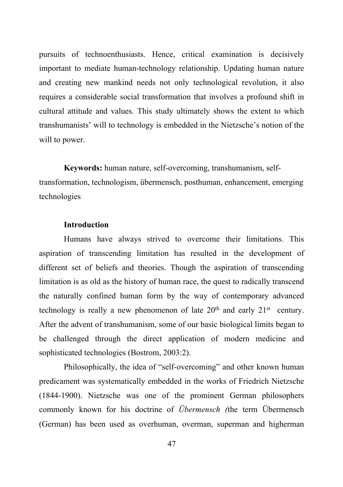pursuits of technoenthusiasts. Hence, critical examination is decisively important to mediate human-technology relationship. Updating human nature and creating new mankind needs not only technological revolution, it also requires a considerable social transformation that involves a profound shift in cultural attitude and values. This study ultimately shows the extent to which transhumanists' will to technology is embedded in the Nietzsche's notion of the will to power.

**Keywords:** human nature, self-overcoming, transhumanism, selftransformation, technologism, übermensch, posthuman, enhancement, emerging technologies

# **Introduction**

Humans have always strived to overcome their limitations. This aspiration of transcending limitation has resulted in the development of different set of beliefs and theories. Though the aspiration of transcending limitation is as old as the history of human race, the quest to radically transcend the naturally confined human form by the way of contemporary advanced technology is really a new phenomenon of late  $20<sup>th</sup>$  and early  $21<sup>st</sup>$  century. After the advent of transhumanism, some of our basic biological limits began to be challenged through the direct application of modern medicine and sophisticated technologies (Bostrom, 2003:2).

Philosophically, the idea of "self-overcoming" and other known human predicament was systematically embedded in the works of Friedrich Nietzsche (1844-1900). Nietzsche was one of the prominent German philosophers commonly known for his doctrine of *Übermensch (*the term Übermensch (German) has been used as overhuman, overman, superman and higherman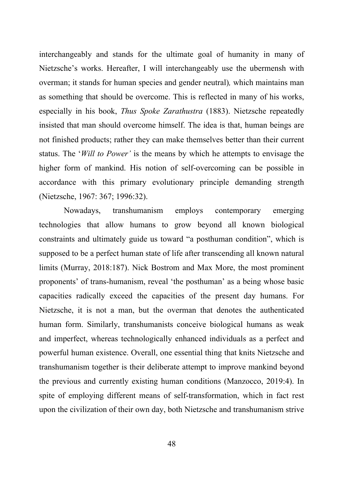interchangeably and stands for the ultimate goal of humanity in many of Nietzsche's works. Hereafter, I will interchangeably use the ubermensh with overman; it stands for human species and gender neutral)*,* which maintains man as something that should be overcome. This is reflected in many of his works, especially in his book, *Thus Spoke Zarathustra* (1883). Nietzsche repeatedly insisted that man should overcome himself. The idea is that, human beings are not finished products; rather they can make themselves better than their current status. The '*Will to Power'* is the means by which he attempts to envisage the higher form of mankind. His notion of self-overcoming can be possible in accordance with this primary evolutionary principle demanding strength (Nietzsche, 1967: 367; 1996:32).

Nowadays, transhumanism employs contemporary emerging technologies that allow humans to grow beyond all known biological constraints and ultimately guide us toward "a posthuman condition", which is supposed to be a perfect human state of life after transcending all known natural limits (Murray, 2018:187). Nick Bostrom and Max More, the most prominent proponents' of trans-humanism, reveal 'the posthuman' as a being whose basic capacities radically exceed the capacities of the present day humans. For Nietzsche, it is not a man, but the overman that denotes the authenticated human form. Similarly, transhumanists conceive biological humans as weak and imperfect, whereas technologically enhanced individuals as a perfect and powerful human existence. Overall, one essential thing that knits Nietzsche and transhumanism together is their deliberate attempt to improve mankind beyond the previous and currently existing human conditions (Manzocco, 2019:4). In spite of employing different means of self-transformation, which in fact rest upon the civilization of their own day, both Nietzsche and transhumanism strive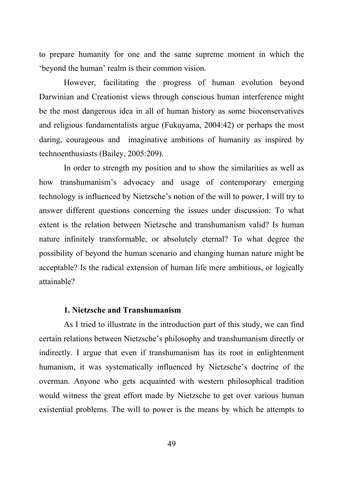to prepare humanity for one and the same supreme moment in which the 'beyond the human' realm is their common vision.

However, facilitating the progress of human evolution beyond Darwinian and Creationist views through conscious human interference might be the most dangerous idea in all of human history as some bioconservatives and religious fundamentalists argue (Fukuyama, 2004:42) or perhaps the most daring, courageous and imaginative ambitions of humanity as inspired by technoenthusiasts (Bailey, 2005:209).

In order to strength my position and to show the similarities as well as how transhumanism's advocacy and usage of contemporary emerging technology is influenced by Nietzsche's notion of the will to power, I will try to answer different questions concerning the issues under discussion: To what extent is the relation between Nietzsche and transhumanism valid? Is human nature infinitely transformable, or absolutely eternal? To what degree the possibility of beyond the human scenario and changing human nature might be acceptable? Is the radical extension of human life mere ambitious, or logically attainable?

# **1. Nietzsche and Transhumanism**

As I tried to illustrate in the introduction part of this study, we can find certain relations between Nietzsche's philosophy and transhumanism directly or indirectly. I argue that even if transhumanism has its root in enlightenment humanism, it was systematically influenced by Nietzsche's doctrine of the overman. Anyone who gets acquainted with western philosophical tradition would witness the great effort made by Nietzsche to get over various human existential problems. The will to power is the means by which he attempts to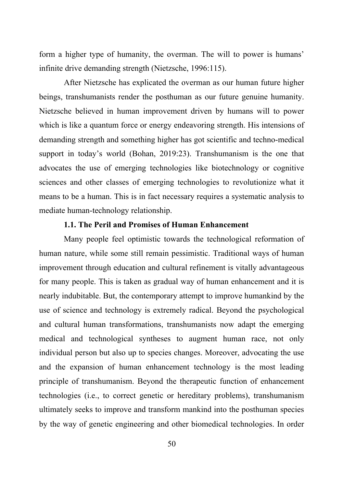form a higher type of humanity, the overman. The will to power is humans' infinite drive demanding strength (Nietzsche, 1996:115).

After Nietzsche has explicated the overman as our human future higher beings, transhumanists render the posthuman as our future genuine humanity. Nietzsche believed in human improvement driven by humans will to power which is like a quantum force or energy endeavoring strength. His intensions of demanding strength and something higher has got scientific and techno-medical support in today's world (Bohan, 2019:23). Transhumanism is the one that advocates the use of emerging technologies like biotechnology or cognitive sciences and other classes of emerging technologies to revolutionize what it means to be a human. This is in fact necessary requires a systematic analysis to mediate human-technology relationship.

# **1.1. The Peril and Promises of Human Enhancement**

Many people feel optimistic towards the technological reformation of human nature, while some still remain pessimistic. Traditional ways of human improvement through education and cultural refinement is vitally advantageous for many people. This is taken as gradual way of human enhancement and it is nearly indubitable. But, the contemporary attempt to improve humankind by the use of science and technology is extremely radical. Beyond the psychological and cultural human transformations, transhumanists now adapt the emerging medical and technological syntheses to augment human race, not only individual person but also up to species changes. Moreover, advocating the use and the expansion of human enhancement technology is the most leading principle of transhumanism. Beyond the therapeutic function of enhancement technologies (i.e., to correct genetic or hereditary problems), transhumanism ultimately seeks to improve and transform mankind into the posthuman species by the way of genetic engineering and other biomedical technologies. In order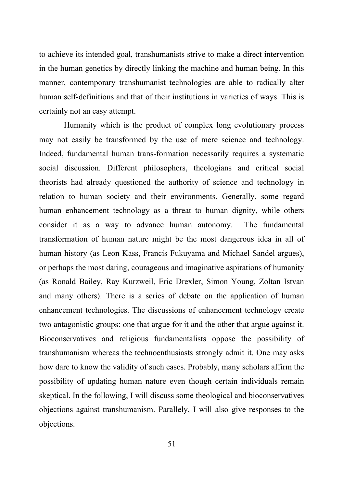to achieve its intended goal, transhumanists strive to make a direct intervention in the human genetics by directly linking the machine and human being. In this manner, contemporary transhumanist technologies are able to radically alter human self-definitions and that of their institutions in varieties of ways. This is certainly not an easy attempt.

Humanity which is the product of complex long evolutionary process may not easily be transformed by the use of mere science and technology. Indeed, fundamental human trans-formation necessarily requires a systematic social discussion. Different philosophers, theologians and critical social theorists had already questioned the authority of science and technology in relation to human society and their environments. Generally, some regard human enhancement technology as a threat to human dignity, while others consider it as a way to advance human autonomy. The fundamental transformation of human nature might be the most dangerous idea in all of human history (as Leon Kass, Francis Fukuyama and Michael Sandel argues), or perhaps the most daring, courageous and imaginative aspirations of humanity (as Ronald Bailey, Ray Kurzweil, Eric Drexler, Simon Young, Zoltan Istvan and many others). There is a series of debate on the application of human enhancement technologies. The discussions of enhancement technology create two antagonistic groups: one that argue for it and the other that argue against it. Bioconservatives and religious fundamentalists oppose the possibility of transhumanism whereas the technoenthusiasts strongly admit it. One may asks how dare to know the validity of such cases. Probably, many scholars affirm the possibility of updating human nature even though certain individuals remain skeptical. In the following, I will discuss some theological and bioconservatives objections against transhumanism. Parallely, I will also give responses to the objections.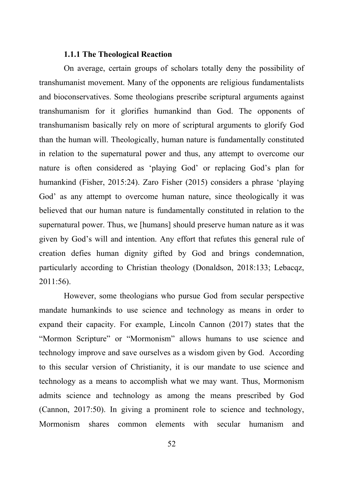#### **1.1.1 The Theological Reaction**

On average, certain groups of scholars totally deny the possibility of transhumanist movement. Many of the opponents are religious fundamentalists and bioconservatives. Some theologians prescribe scriptural arguments against transhumanism for it glorifies humankind than God. The opponents of transhumanism basically rely on more of scriptural arguments to glorify God than the human will. Theologically, human nature is fundamentally constituted in relation to the supernatural power and thus, any attempt to overcome our nature is often considered as 'playing God' or replacing God's plan for humankind (Fisher, 2015:24). Zaro Fisher (2015) considers a phrase 'playing God' as any attempt to overcome human nature, since theologically it was believed that our human nature is fundamentally constituted in relation to the supernatural power. Thus, we [humans] should preserve human nature as it was given by God's will and intention. Any effort that refutes this general rule of creation defies human dignity gifted by God and brings condemnation, particularly according to Christian theology (Donaldson, 2018:133; Lebacqz, 2011:56).

However, some theologians who pursue God from secular perspective mandate humankinds to use science and technology as means in order to expand their capacity. For example, Lincoln Cannon (2017) states that the "Mormon Scripture" or "Mormonism" allows humans to use science and technology improve and save ourselves as a wisdom given by God. According to this secular version of Christianity, it is our mandate to use science and technology as a means to accomplish what we may want. Thus, Mormonism admits science and technology as among the means prescribed by God (Cannon, 2017:50). In giving a prominent role to science and technology, Mormonism shares common elements with secular humanism and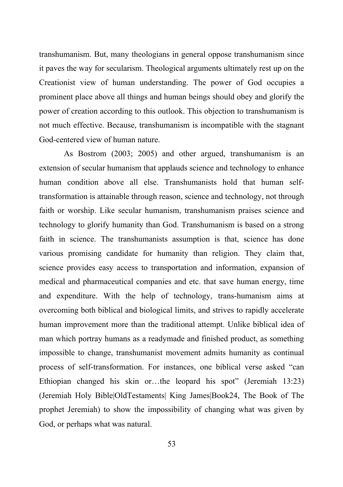transhumanism. But, many theologians in general oppose transhumanism since it paves the way for secularism. Theological arguments ultimately rest up on the Creationist view of human understanding. The power of God occupies a prominent place above all things and human beings should obey and glorify the power of creation according to this outlook. This objection to transhumanism is not much effective. Because, transhumanism is incompatible with the stagnant God-centered view of human nature.

As Bostrom (2003; 2005) and other argued, transhumanism is an extension of secular humanism that applauds science and technology to enhance human condition above all else. Transhumanists hold that human selftransformation is attainable through reason, science and technology, not through faith or worship. Like secular humanism, transhumanism praises science and technology to glorify humanity than God. Transhumanism is based on a strong faith in science. The transhumanists assumption is that, science has done various promising candidate for humanity than religion. They claim that, science provides easy access to transportation and information, expansion of medical and pharmaceutical companies and etc. that save human energy, time and expenditure. With the help of technology, trans-humanism aims at overcoming both biblical and biological limits, and strives to rapidly accelerate human improvement more than the traditional attempt. Unlike biblical idea of man which portray humans as a readymade and finished product, as something impossible to change, transhumanist movement admits humanity as continual process of self-transformation. For instances, one biblical verse asked "can Ethiopian changed his skin or…the leopard his spot" (Jeremiah 13:23) (Jeremiah Holy Bible|OldTestaments| King James|Book24, The Book of The prophet Jeremiah) to show the impossibility of changing what was given by God, or perhaps what was natural.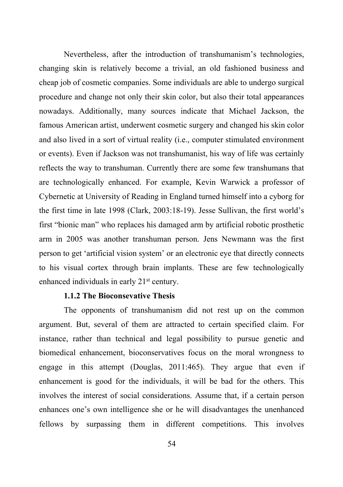Nevertheless, after the introduction of transhumanism's technologies, changing skin is relatively become a trivial, an old fashioned business and cheap job of cosmetic companies. Some individuals are able to undergo surgical procedure and change not only their skin color, but also their total appearances nowadays. Additionally, many sources indicate that Michael Jackson, the famous American artist, underwent cosmetic surgery and changed his skin color and also lived in a sort of virtual reality (i.e., computer stimulated environment or events). Even if Jackson was not transhumanist, his way of life was certainly reflects the way to transhuman. Currently there are some few transhumans that are technologically enhanced. For example, Kevin Warwick a professor of Cybernetic at University of Reading in England turned himself into a cyborg for the first time in late 1998 (Clark, 2003:18-19). Jesse Sullivan, the first world's first "bionic man" who replaces his damaged arm by artificial robotic prosthetic arm in 2005 was another transhuman person. Jens Newmann was the first person to get 'artificial vision system' or an electronic eye that directly connects to his visual cortex through brain implants. These are few technologically enhanced individuals in early 21<sup>st</sup> century.

#### **1.1.2 The Bioconsevative Thesis**

The opponents of transhumanism did not rest up on the common argument. But, several of them are attracted to certain specified claim. For instance, rather than technical and legal possibility to pursue genetic and biomedical enhancement, bioconservatives focus on the moral wrongness to engage in this attempt (Douglas, 2011:465). They argue that even if enhancement is good for the individuals, it will be bad for the others. This involves the interest of social considerations. Assume that, if a certain person enhances one's own intelligence she or he will disadvantages the unenhanced fellows by surpassing them in different competitions. This involves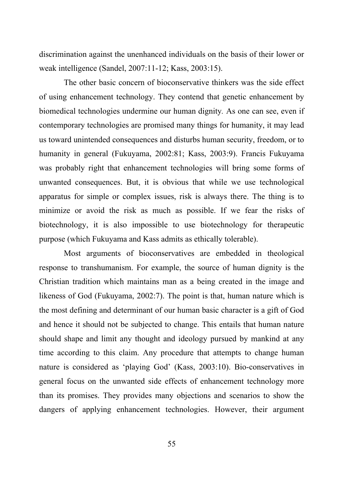discrimination against the unenhanced individuals on the basis of their lower or weak intelligence (Sandel, 2007:11-12; Kass, 2003:15).

The other basic concern of bioconservative thinkers was the side effect of using enhancement technology. They contend that genetic enhancement by biomedical technologies undermine our human dignity*.* As one can see, even if contemporary technologies are promised many things for humanity, it may lead us toward unintended consequences and disturbs human security, freedom, or to humanity in general (Fukuyama, 2002:81; Kass, 2003:9). Francis Fukuyama was probably right that enhancement technologies will bring some forms of unwanted consequences. But, it is obvious that while we use technological apparatus for simple or complex issues, risk is always there. The thing is to minimize or avoid the risk as much as possible. If we fear the risks of biotechnology, it is also impossible to use biotechnology for therapeutic purpose (which Fukuyama and Kass admits as ethically tolerable).

Most arguments of bioconservatives are embedded in theological response to transhumanism. For example, the source of human dignity is the Christian tradition which maintains man as a being created in the image and likeness of God (Fukuyama, 2002:7). The point is that, human nature which is the most defining and determinant of our human basic character is a gift of God and hence it should not be subjected to change. This entails that human nature should shape and limit any thought and ideology pursued by mankind at any time according to this claim. Any procedure that attempts to change human nature is considered as 'playing God' (Kass, 2003:10). Bio-conservatives in general focus on the unwanted side effects of enhancement technology more than its promises. They provides many objections and scenarios to show the dangers of applying enhancement technologies. However, their argument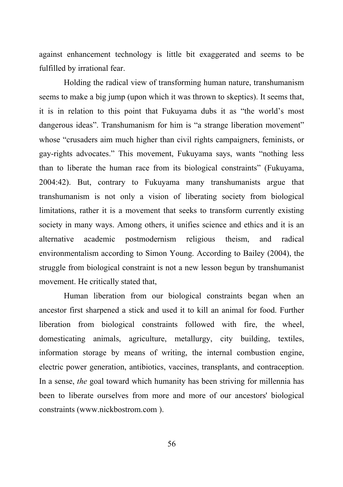against enhancement technology is little bit exaggerated and seems to be fulfilled by irrational fear.

Holding the radical view of transforming human nature, transhumanism seems to make a big jump (upon which it was thrown to skeptics). It seems that, it is in relation to this point that Fukuyama dubs it as "the world's most dangerous ideas". Transhumanism for him is "a strange liberation movement" whose "crusaders aim much higher than civil rights campaigners, feminists, or gay-rights advocates." This movement, Fukuyama says, wants "nothing less than to liberate the human race from its biological constraints" (Fukuyama, 2004:42). But, contrary to Fukuyama many transhumanists argue that transhumanism is not only a vision of liberating society from biological limitations, rather it is a movement that seeks to transform currently existing society in many ways. Among others, it unifies science and ethics and it is an alternative academic postmodernism religious theism, and radical environmentalism according to Simon Young. According to Bailey (2004), the struggle from biological constraint is not a new lesson begun by transhumanist movement. He critically stated that,

Human liberation from our biological constraints began when an ancestor first sharpened a stick and used it to kill an animal for food. Further liberation from biological constraints followed with fire, the wheel, domesticating animals, agriculture, metallurgy, city building, textiles, information storage by means of writing, the internal combustion engine, electric power generation, antibiotics, vaccines, transplants, and contraception. In a sense, *the* goal toward which humanity has been striving for millennia has been to liberate ourselves from more and more of our ancestors' biological constraints (www.nickbostrom.com ).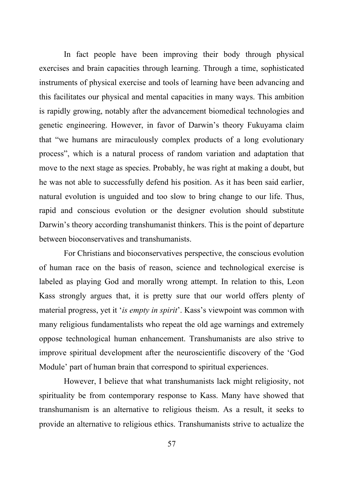In fact people have been improving their body through physical exercises and brain capacities through learning. Through a time, sophisticated instruments of physical exercise and tools of learning have been advancing and this facilitates our physical and mental capacities in many ways. This ambition is rapidly growing, notably after the advancement biomedical technologies and genetic engineering. However, in favor of Darwin's theory Fukuyama claim that "we humans are miraculously complex products of a long evolutionary process", which is a natural process of random variation and adaptation that move to the next stage as species. Probably, he was right at making a doubt, but he was not able to successfully defend his position. As it has been said earlier, natural evolution is unguided and too slow to bring change to our life. Thus, rapid and conscious evolution or the designer evolution should substitute Darwin's theory according transhumanist thinkers. This is the point of departure between bioconservatives and transhumanists.

For Christians and bioconservatives perspective, the conscious evolution of human race on the basis of reason, science and technological exercise is labeled as playing God and morally wrong attempt. In relation to this, Leon Kass strongly argues that, it is pretty sure that our world offers plenty of material progress, yet it '*is empty in spirit*'. Kass's viewpoint was common with many religious fundamentalists who repeat the old age warnings and extremely oppose technological human enhancement. Transhumanists are also strive to improve spiritual development after the neuroscientific discovery of the 'God Module' part of human brain that correspond to spiritual experiences.

However, I believe that what transhumanists lack might religiosity, not spirituality be from contemporary response to Kass. Many have showed that transhumanism is an alternative to religious theism. As a result, it seeks to provide an alternative to religious ethics. Transhumanists strive to actualize the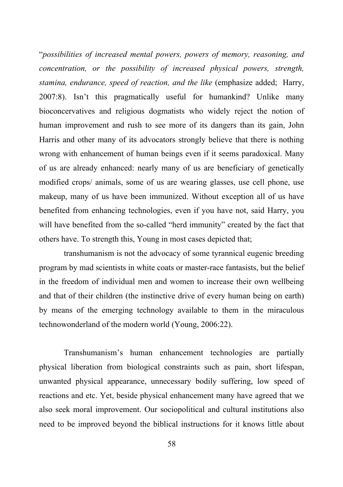"*possibilities of increased mental powers, powers of memory, reasoning, and concentration, or the possibility of increased physical powers, strength, stamina, endurance, speed of reaction, and the like* (emphasize added; Harry, 2007:8). Isn't this pragmatically useful for humankind? Unlike many bioconcervatives and religious dogmatists who widely reject the notion of human improvement and rush to see more of its dangers than its gain, John Harris and other many of its advocators strongly believe that there is nothing wrong with enhancement of human beings even if it seems paradoxical. Many of us are already enhanced: nearly many of us are beneficiary of genetically modified crops/ animals, some of us are wearing glasses, use cell phone, use makeup, many of us have been immunized. Without exception all of us have benefited from enhancing technologies, even if you have not, said Harry, you will have benefited from the so-called "herd immunity" created by the fact that others have. To strength this, Young in most cases depicted that;

transhumanism is not the advocacy of some tyrannical eugenic breeding program by mad scientists in white coats or master-race fantasists, but the belief in the freedom of individual men and women to increase their own wellbeing and that of their children (the instinctive drive of every human being on earth) by means of the emerging technology available to them in the miraculous technowonderland of the modern world (Young, 2006:22).

Transhumanism's human enhancement technologies are partially physical liberation from biological constraints such as pain, short lifespan, unwanted physical appearance, unnecessary bodily suffering, low speed of reactions and etc. Yet, beside physical enhancement many have agreed that we also seek moral improvement. Our sociopolitical and cultural institutions also need to be improved beyond the biblical instructions for it knows little about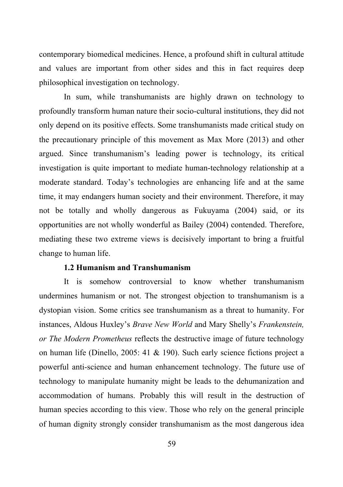contemporary biomedical medicines. Hence, a profound shift in cultural attitude and values are important from other sides and this in fact requires deep philosophical investigation on technology.

In sum, while transhumanists are highly drawn on technology to profoundly transform human nature their socio-cultural institutions, they did not only depend on its positive effects. Some transhumanists made critical study on the precautionary principle of this movement as Max More (2013) and other argued. Since transhumanism's leading power is technology, its critical investigation is quite important to mediate human-technology relationship at a moderate standard. Today's technologies are enhancing life and at the same time, it may endangers human society and their environment. Therefore, it may not be totally and wholly dangerous as Fukuyama (2004) said, or its opportunities are not wholly wonderful as Bailey (2004) contended. Therefore, mediating these two extreme views is decisively important to bring a fruitful change to human life.

## **1.2 Humanism and Transhumanism**

It is somehow controversial to know whether transhumanism undermines humanism or not. The strongest objection to transhumanism is a dystopian vision. Some critics see transhumanism as a threat to humanity. For instances, Aldous Huxley's *Brave New World* and Mary Shelly's *Frankenstein, or The Modern Prometheus* reflects the destructive image of future technology on human life (Dinello, 2005: 41 & 190). Such early science fictions project a powerful anti-science and human enhancement technology. The future use of technology to manipulate humanity might be leads to the dehumanization and accommodation of humans. Probably this will result in the destruction of human species according to this view. Those who rely on the general principle of human dignity strongly consider transhumanism as the most dangerous idea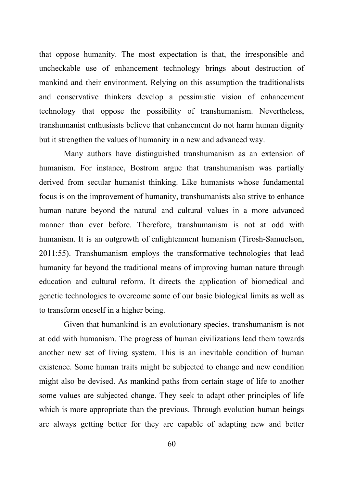that oppose humanity. The most expectation is that, the irresponsible and uncheckable use of enhancement technology brings about destruction of mankind and their environment. Relying on this assumption the traditionalists and conservative thinkers develop a pessimistic vision of enhancement technology that oppose the possibility of transhumanism. Nevertheless, transhumanist enthusiasts believe that enhancement do not harm human dignity but it strengthen the values of humanity in a new and advanced way.

Many authors have distinguished transhumanism as an extension of humanism. For instance, Bostrom argue that transhumanism was partially derived from secular humanist thinking. Like humanists whose fundamental focus is on the improvement of humanity, transhumanists also strive to enhance human nature beyond the natural and cultural values in a more advanced manner than ever before. Therefore, transhumanism is not at odd with humanism. It is an outgrowth of enlightenment humanism (Tirosh-Samuelson, 2011:55). Transhumanism employs the transformative technologies that lead humanity far beyond the traditional means of improving human nature through education and cultural reform. It directs the application of biomedical and genetic technologies to overcome some of our basic biological limits as well as to transform oneself in a higher being.

Given that humankind is an evolutionary species, transhumanism is not at odd with humanism. The progress of human civilizations lead them towards another new set of living system. This is an inevitable condition of human existence. Some human traits might be subjected to change and new condition might also be devised. As mankind paths from certain stage of life to another some values are subjected change. They seek to adapt other principles of life which is more appropriate than the previous. Through evolution human beings are always getting better for they are capable of adapting new and better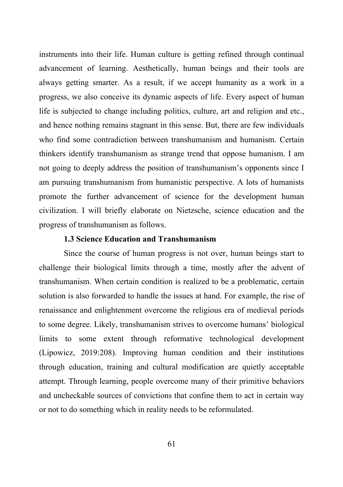instruments into their life. Human culture is getting refined through continual advancement of learning. Aesthetically, human beings and their tools are always getting smarter. As a result, if we accept humanity as a work in a progress, we also conceive its dynamic aspects of life. Every aspect of human life is subjected to change including politics, culture, art and religion and etc., and hence nothing remains stagnant in this sense. But, there are few individuals who find some contradiction between transhumanism and humanism. Certain thinkers identify transhumanism as strange trend that oppose humanism. I am not going to deeply address the position of transhumanism's opponents since I am pursuing transhumanism from humanistic perspective. A lots of humanists promote the further advancement of science for the development human civilization. I will briefly elaborate on Nietzsche, science education and the progress of transhumanism as follows.

## **1.3 Science Education and Transhumanism**

Since the course of human progress is not over, human beings start to challenge their biological limits through a time, mostly after the advent of transhumanism. When certain condition is realized to be a problematic, certain solution is also forwarded to handle the issues at hand. For example, the rise of renaissance and enlightenment overcome the religious era of medieval periods to some degree. Likely, transhumanism strives to overcome humans' biological limits to some extent through reformative technological development (Lipowicz, 2019:208). Improving human condition and their institutions through education, training and cultural modification are quietly acceptable attempt. Through learning, people overcome many of their primitive behaviors and uncheckable sources of convictions that confine them to act in certain way or not to do something which in reality needs to be reformulated.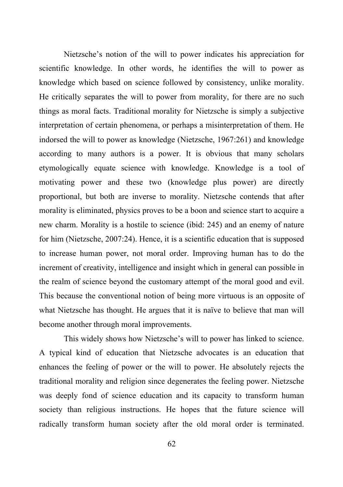Nietzsche's notion of the will to power indicates his appreciation for scientific knowledge. In other words, he identifies the will to power as knowledge which based on science followed by consistency, unlike morality. He critically separates the will to power from morality, for there are no such things as moral facts. Traditional morality for Nietzsche is simply a subjective interpretation of certain phenomena, or perhaps a misinterpretation of them. He indorsed the will to power as knowledge (Nietzsche, 1967:261) and knowledge according to many authors is a power. It is obvious that many scholars etymologically equate science with knowledge. Knowledge is a tool of motivating power and these two (knowledge plus power) are directly proportional, but both are inverse to morality. Nietzsche contends that after morality is eliminated, physics proves to be a boon and science start to acquire a new charm. Morality is a hostile to science (ibid: 245) and an enemy of nature for him (Nietzsche, 2007:24). Hence, it is a scientific education that is supposed to increase human power, not moral order. Improving human has to do the increment of creativity, intelligence and insight which in general can possible in the realm of science beyond the customary attempt of the moral good and evil. This because the conventional notion of being more virtuous is an opposite of what Nietzsche has thought. He argues that it is naïve to believe that man will become another through moral improvements.

This widely shows how Nietzsche's will to power has linked to science. A typical kind of education that Nietzsche advocates is an education that enhances the feeling of power or the will to power. He absolutely rejects the traditional morality and religion since degenerates the feeling power. Nietzsche was deeply fond of science education and its capacity to transform human society than religious instructions. He hopes that the future science will radically transform human society after the old moral order is terminated.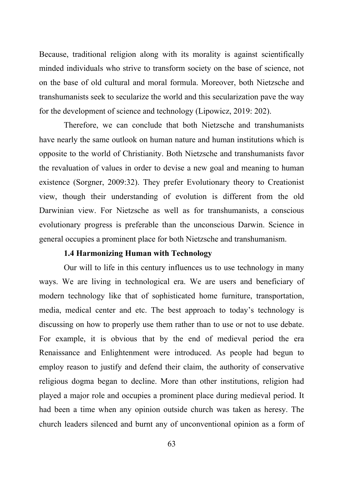Because, traditional religion along with its morality is against scientifically minded individuals who strive to transform society on the base of science, not on the base of old cultural and moral formula. Moreover, both Nietzsche and transhumanists seek to secularize the world and this secularization pave the way for the development of science and technology (Lipowicz, 2019: 202).

Therefore, we can conclude that both Nietzsche and transhumanists have nearly the same outlook on human nature and human institutions which is opposite to the world of Christianity. Both Nietzsche and transhumanists favor the revaluation of values in order to devise a new goal and meaning to human existence (Sorgner, 2009:32). They prefer Evolutionary theory to Creationist view, though their understanding of evolution is different from the old Darwinian view. For Nietzsche as well as for transhumanists, a conscious evolutionary progress is preferable than the unconscious Darwin. Science in general occupies a prominent place for both Nietzsche and transhumanism.

## **1.4 Harmonizing Human with Technology**

Our will to life in this century influences us to use technology in many ways. We are living in technological era. We are users and beneficiary of modern technology like that of sophisticated home furniture, transportation, media, medical center and etc. The best approach to today's technology is discussing on how to properly use them rather than to use or not to use debate. For example, it is obvious that by the end of medieval period the era Renaissance and Enlightenment were introduced. As people had begun to employ reason to justify and defend their claim, the authority of conservative religious dogma began to decline. More than other institutions, religion had played a major role and occupies a prominent place during medieval period. It had been a time when any opinion outside church was taken as heresy. The church leaders silenced and burnt any of unconventional opinion as a form of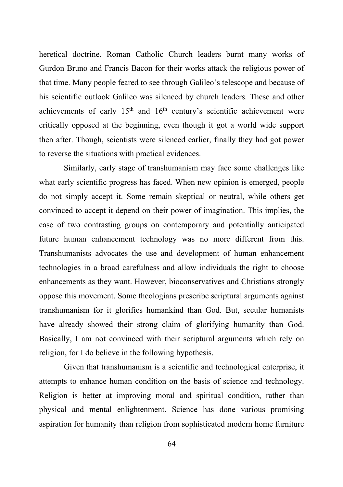heretical doctrine. Roman Catholic Church leaders burnt many works of Gurdon Bruno and Francis Bacon for their works attack the religious power of that time. Many people feared to see through Galileo's telescope and because of his scientific outlook Galileo was silenced by church leaders. These and other achievements of early  $15<sup>th</sup>$  and  $16<sup>th</sup>$  century's scientific achievement were critically opposed at the beginning, even though it got a world wide support then after. Though, scientists were silenced earlier, finally they had got power to reverse the situations with practical evidences.

Similarly, early stage of transhumanism may face some challenges like what early scientific progress has faced. When new opinion is emerged, people do not simply accept it. Some remain skeptical or neutral, while others get convinced to accept it depend on their power of imagination. This implies, the case of two contrasting groups on contemporary and potentially anticipated future human enhancement technology was no more different from this. Transhumanists advocates the use and development of human enhancement technologies in a broad carefulness and allow individuals the right to choose enhancements as they want. However, bioconservatives and Christians strongly oppose this movement. Some theologians prescribe scriptural arguments against transhumanism for it glorifies humankind than God. But, secular humanists have already showed their strong claim of glorifying humanity than God. Basically, I am not convinced with their scriptural arguments which rely on religion, for I do believe in the following hypothesis.

Given that transhumanism is a scientific and technological enterprise, it attempts to enhance human condition on the basis of science and technology. Religion is better at improving moral and spiritual condition, rather than physical and mental enlightenment. Science has done various promising aspiration for humanity than religion from sophisticated modern home furniture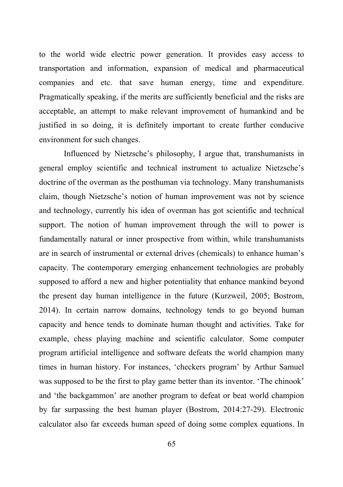to the world wide electric power generation. It provides easy access to transportation and information, expansion of medical and pharmaceutical companies and etc. that save human energy, time and expenditure. Pragmatically speaking, if the merits are sufficiently beneficial and the risks are acceptable, an attempt to make relevant improvement of humankind and be justified in so doing, it is definitely important to create further conducive environment for such changes.

Influenced by Nietzsche's philosophy, I argue that, transhumanists in general employ scientific and technical instrument to actualize Nietzsche's doctrine of the overman as the posthuman via technology. Many transhumanists claim, though Nietzsche's notion of human improvement was not by science and technology, currently his idea of overman has got scientific and technical support. The notion of human improvement through the will to power is fundamentally natural or inner prospective from within, while transhumanists are in search of instrumental or external drives (chemicals) to enhance human's capacity. The contemporary emerging enhancement technologies are probably supposed to afford a new and higher potentiality that enhance mankind beyond the present day human intelligence in the future (Kurzweil, 2005; Bostrom, 2014). In certain narrow domains, technology tends to go beyond human capacity and hence tends to dominate human thought and activities. Take for example, chess playing machine and scientific calculator. Some computer program artificial intelligence and software defeats the world champion many times in human history. For instances, 'checkers program' by Arthur Samuel was supposed to be the first to play game better than its inventor. 'The chinook' and 'the backgammon' are another program to defeat or beat world champion by far surpassing the best human player (Bostrom, 2014:27-29). Electronic calculator also far exceeds human speed of doing some complex equations. In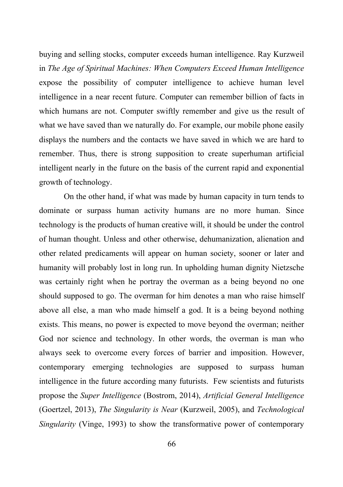buying and selling stocks, computer exceeds human intelligence. Ray Kurzweil in *The Age of Spiritual Machines: When Computers Exceed Human Intelligence* expose the possibility of computer intelligence to achieve human level intelligence in a near recent future. Computer can remember billion of facts in which humans are not. Computer swiftly remember and give us the result of what we have saved than we naturally do. For example, our mobile phone easily displays the numbers and the contacts we have saved in which we are hard to remember. Thus, there is strong supposition to create superhuman artificial intelligent nearly in the future on the basis of the current rapid and exponential growth of technology.

On the other hand, if what was made by human capacity in turn tends to dominate or surpass human activity humans are no more human. Since technology is the products of human creative will, it should be under the control of human thought. Unless and other otherwise, dehumanization, alienation and other related predicaments will appear on human society, sooner or later and humanity will probably lost in long run. In upholding human dignity Nietzsche was certainly right when he portray the overman as a being beyond no one should supposed to go. The overman for him denotes a man who raise himself above all else, a man who made himself a god. It is a being beyond nothing exists. This means, no power is expected to move beyond the overman; neither God nor science and technology. In other words, the overman is man who always seek to overcome every forces of barrier and imposition. However, contemporary emerging technologies are supposed to surpass human intelligence in the future according many futurists. Few scientists and futurists propose the *Super Intelligence* (Bostrom, 2014), *Artificial General Intelligence* (Goertzel, 2013), *The Singularity is Near* (Kurzweil, 2005), and *Technological Singularity* (Vinge, 1993) to show the transformative power of contemporary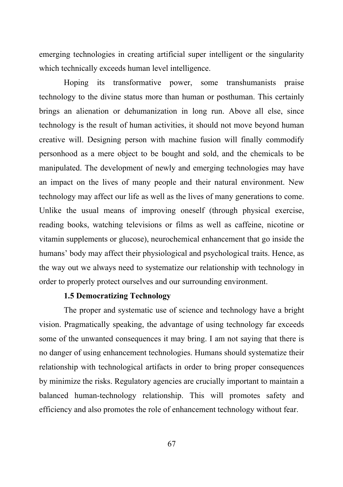emerging technologies in creating artificial super intelligent or the singularity which technically exceeds human level intelligence.

Hoping its transformative power, some transhumanists praise technology to the divine status more than human or posthuman. This certainly brings an alienation or dehumanization in long run. Above all else, since technology is the result of human activities, it should not move beyond human creative will. Designing person with machine fusion will finally commodify personhood as a mere object to be bought and sold, and the chemicals to be manipulated. The development of newly and emerging technologies may have an impact on the lives of many people and their natural environment. New technology may affect our life as well as the lives of many generations to come. Unlike the usual means of improving oneself (through physical exercise, reading books, watching televisions or films as well as caffeine, nicotine or vitamin supplements or glucose), neurochemical enhancement that go inside the humans' body may affect their physiological and psychological traits. Hence, as the way out we always need to systematize our relationship with technology in order to properly protect ourselves and our surrounding environment.

## **1.5 Democratizing Technology**

The proper and systematic use of science and technology have a bright vision. Pragmatically speaking, the advantage of using technology far exceeds some of the unwanted consequences it may bring. I am not saying that there is no danger of using enhancement technologies. Humans should systematize their relationship with technological artifacts in order to bring proper consequences by minimize the risks. Regulatory agencies are crucially important to maintain a balanced human-technology relationship. This will promotes safety and efficiency and also promotes the role of enhancement technology without fear.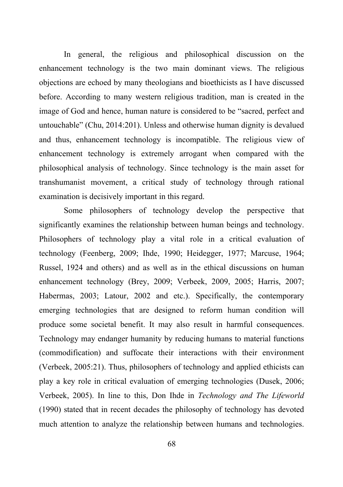In general, the religious and philosophical discussion on the enhancement technology is the two main dominant views. The religious objections are echoed by many theologians and bioethicists as I have discussed before. According to many western religious tradition, man is created in the image of God and hence, human nature is considered to be "sacred, perfect and untouchable" (Chu, 2014:201). Unless and otherwise human dignity is devalued and thus, enhancement technology is incompatible. The religious view of enhancement technology is extremely arrogant when compared with the philosophical analysis of technology. Since technology is the main asset for transhumanist movement, a critical study of technology through rational examination is decisively important in this regard.

Some philosophers of technology develop the perspective that significantly examines the relationship between human beings and technology. Philosophers of technology play a vital role in a critical evaluation of technology (Feenberg, 2009; Ihde, 1990; Heidegger, 1977; Marcuse, 1964; Russel, 1924 and others) and as well as in the ethical discussions on human enhancement technology (Brey, 2009; Verbeek, 2009, 2005; Harris, 2007; Habermas, 2003; Latour, 2002 and etc.). Specifically, the contemporary emerging technologies that are designed to reform human condition will produce some societal benefit. It may also result in harmful consequences. Technology may endanger humanity by reducing humans to material functions (commodification) and suffocate their interactions with their environment (Verbeek, 2005:21). Thus, philosophers of technology and applied ethicists can play a key role in critical evaluation of emerging technologies (Dusek, 2006; Verbeek, 2005). In line to this, Don Ihde in *Technology and The Lifeworld*  (1990) stated that in recent decades the philosophy of technology has devoted much attention to analyze the relationship between humans and technologies.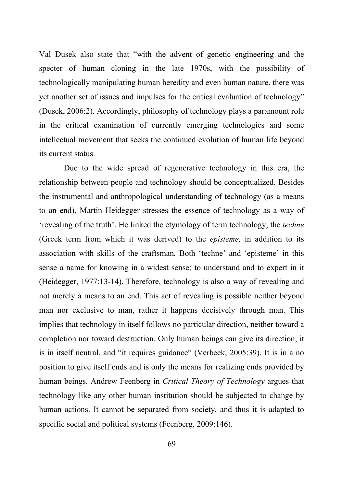Val Dusek also state that "with the advent of genetic engineering and the specter of human cloning in the late 1970s, with the possibility of technologically manipulating human heredity and even human nature, there was yet another set of issues and impulses for the critical evaluation of technology" (Dusek, 2006:2). Accordingly, philosophy of technology plays a paramount role in the critical examination of currently emerging technologies and some intellectual movement that seeks the continued evolution of human life beyond its current status.

Due to the wide spread of regenerative technology in this era, the relationship between people and technology should be conceptualized. Besides the instrumental and anthropological understanding of technology (as a means to an end), Martin Heidegger stresses the essence of technology as a way of 'revealing of the truth'. He linked the etymology of term technology, the *techne*  (Greek term from which it was derived) to the *episteme,* in addition to its association with skills of the craftsman*.* Both 'techne' and 'episteme' in this sense a name for knowing in a widest sense; to understand and to expert in it (Heidegger, 1977:13-14). Therefore, technology is also a way of revealing and not merely a means to an end. This act of revealing is possible neither beyond man nor exclusive to man, rather it happens decisively through man. This implies that technology in itself follows no particular direction, neither toward a completion nor toward destruction. Only human beings can give its direction; it is in itself neutral, and "it requires guidance" (Verbeek, 2005:39). It is in a no position to give itself ends and is only the means for realizing ends provided by human beings. Andrew Feenberg in *Critical Theory of Technology* argues that technology like any other human institution should be subjected to change by human actions. It cannot be separated from society, and thus it is adapted to specific social and political systems (Feenberg, 2009:146).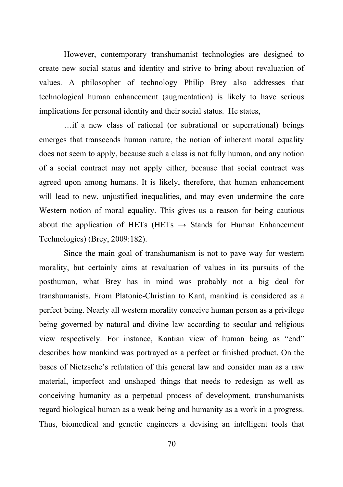However, contemporary transhumanist technologies are designed to create new social status and identity and strive to bring about revaluation of values. A philosopher of technology Philip Brey also addresses that technological human enhancement (augmentation) is likely to have serious implications for personal identity and their social status. He states,

…if a new class of rational (or subrational or superrational) beings emerges that transcends human nature, the notion of inherent moral equality does not seem to apply, because such a class is not fully human, and any notion of a social contract may not apply either, because that social contract was agreed upon among humans. It is likely, therefore, that human enhancement will lead to new, unjustified inequalities, and may even undermine the core Western notion of moral equality. This gives us a reason for being cautious about the application of HETs (HETs  $\rightarrow$  Stands for Human Enhancement Technologies) (Brey, 2009:182).

Since the main goal of transhumanism is not to pave way for western morality, but certainly aims at revaluation of values in its pursuits of the posthuman, what Brey has in mind was probably not a big deal for transhumanists. From Platonic-Christian to Kant, mankind is considered as a perfect being. Nearly all western morality conceive human person as a privilege being governed by natural and divine law according to secular and religious view respectively. For instance, Kantian view of human being as "end" describes how mankind was portrayed as a perfect or finished product. On the bases of Nietzsche's refutation of this general law and consider man as a raw material, imperfect and unshaped things that needs to redesign as well as conceiving humanity as a perpetual process of development, transhumanists regard biological human as a weak being and humanity as a work in a progress. Thus, biomedical and genetic engineers a devising an intelligent tools that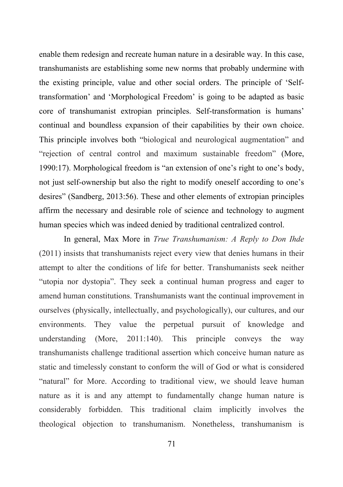enable them redesign and recreate human nature in a desirable way. In this case, transhumanists are establishing some new norms that probably undermine with the existing principle, value and other social orders. The principle of 'Selftransformation' and 'Morphological Freedom' is going to be adapted as basic core of transhumanist extropian principles. Self-transformation is humans' continual and boundless expansion of their capabilities by their own choice. This principle involves both "biological and neurological augmentation" and "rejection of central control and maximum sustainable freedom" (More, 1990:17). Morphological freedom is "an extension of one's right to one's body, not just self-ownership but also the right to modify oneself according to one's desires" (Sandberg, 2013:56). These and other elements of extropian principles affirm the necessary and desirable role of science and technology to augment human species which was indeed denied by traditional centralized control.

In general, Max More in *True Transhumanism: A Reply to Don Ihde*  (2011) insists that transhumanists reject every view that denies humans in their attempt to alter the conditions of life for better. Transhumanists seek neither "utopia nor dystopia". They seek a continual human progress and eager to amend human constitutions. Transhumanists want the continual improvement in ourselves (physically, intellectually, and psychologically), our cultures, and our environments. They value the perpetual pursuit of knowledge and understanding (More, 2011:140). This principle conveys the way transhumanists challenge traditional assertion which conceive human nature as static and timelessly constant to conform the will of God or what is considered "natural" for More. According to traditional view, we should leave human nature as it is and any attempt to fundamentally change human nature is considerably forbidden. This traditional claim implicitly involves the theological objection to transhumanism. Nonetheless, transhumanism is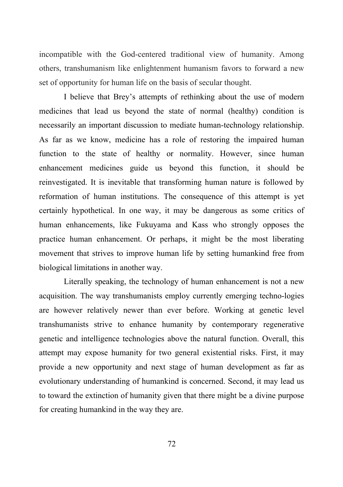incompatible with the God-centered traditional view of humanity. Among others, transhumanism like enlightenment humanism favors to forward a new set of opportunity for human life on the basis of secular thought.

I believe that Brey's attempts of rethinking about the use of modern medicines that lead us beyond the state of normal (healthy) condition is necessarily an important discussion to mediate human-technology relationship. As far as we know, medicine has a role of restoring the impaired human function to the state of healthy or normality. However, since human enhancement medicines guide us beyond this function, it should be reinvestigated. It is inevitable that transforming human nature is followed by reformation of human institutions. The consequence of this attempt is yet certainly hypothetical. In one way, it may be dangerous as some critics of human enhancements, like Fukuyama and Kass who strongly opposes the practice human enhancement. Or perhaps, it might be the most liberating movement that strives to improve human life by setting humankind free from biological limitations in another way.

Literally speaking, the technology of human enhancement is not a new acquisition. The way transhumanists employ currently emerging techno-logies are however relatively newer than ever before. Working at genetic level transhumanists strive to enhance humanity by contemporary regenerative genetic and intelligence technologies above the natural function. Overall, this attempt may expose humanity for two general existential risks. First, it may provide a new opportunity and next stage of human development as far as evolutionary understanding of humankind is concerned. Second, it may lead us to toward the extinction of humanity given that there might be a divine purpose for creating humankind in the way they are.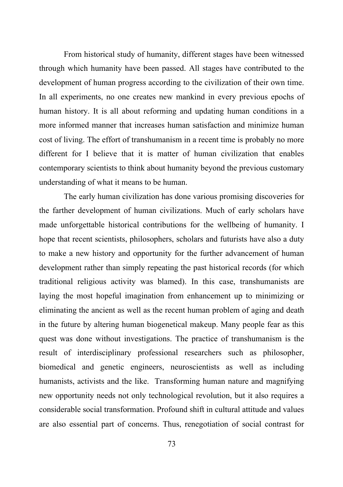From historical study of humanity, different stages have been witnessed through which humanity have been passed. All stages have contributed to the development of human progress according to the civilization of their own time. In all experiments, no one creates new mankind in every previous epochs of human history. It is all about reforming and updating human conditions in a more informed manner that increases human satisfaction and minimize human cost of living. The effort of transhumanism in a recent time is probably no more different for I believe that it is matter of human civilization that enables contemporary scientists to think about humanity beyond the previous customary understanding of what it means to be human.

The early human civilization has done various promising discoveries for the farther development of human civilizations. Much of early scholars have made unforgettable historical contributions for the wellbeing of humanity. I hope that recent scientists, philosophers, scholars and futurists have also a duty to make a new history and opportunity for the further advancement of human development rather than simply repeating the past historical records (for which traditional religious activity was blamed). In this case, transhumanists are laying the most hopeful imagination from enhancement up to minimizing or eliminating the ancient as well as the recent human problem of aging and death in the future by altering human biogenetical makeup. Many people fear as this quest was done without investigations. The practice of transhumanism is the result of interdisciplinary professional researchers such as philosopher, biomedical and genetic engineers, neuroscientists as well as including humanists, activists and the like. Transforming human nature and magnifying new opportunity needs not only technological revolution, but it also requires a considerable social transformation. Profound shift in cultural attitude and values are also essential part of concerns. Thus, renegotiation of social contrast for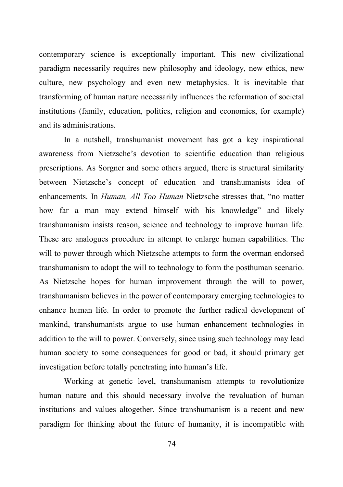contemporary science is exceptionally important. This new civilizational paradigm necessarily requires new philosophy and ideology, new ethics, new culture, new psychology and even new metaphysics. It is inevitable that transforming of human nature necessarily influences the reformation of societal institutions (family, education, politics, religion and economics, for example) and its administrations.

In a nutshell, transhumanist movement has got a key inspirational awareness from Nietzsche's devotion to scientific education than religious prescriptions. As Sorgner and some others argued, there is structural similarity between Nietzsche's concept of education and transhumanists idea of enhancements. In *Human, All Too Human* Nietzsche stresses that, "no matter how far a man may extend himself with his knowledge" and likely transhumanism insists reason, science and technology to improve human life. These are analogues procedure in attempt to enlarge human capabilities. The will to power through which Nietzsche attempts to form the overman endorsed transhumanism to adopt the will to technology to form the posthuman scenario. As Nietzsche hopes for human improvement through the will to power, transhumanism believes in the power of contemporary emerging technologies to enhance human life. In order to promote the further radical development of mankind, transhumanists argue to use human enhancement technologies in addition to the will to power. Conversely, since using such technology may lead human society to some consequences for good or bad, it should primary get investigation before totally penetrating into human's life.

Working at genetic level, transhumanism attempts to revolutionize human nature and this should necessary involve the revaluation of human institutions and values altogether. Since transhumanism is a recent and new paradigm for thinking about the future of humanity, it is incompatible with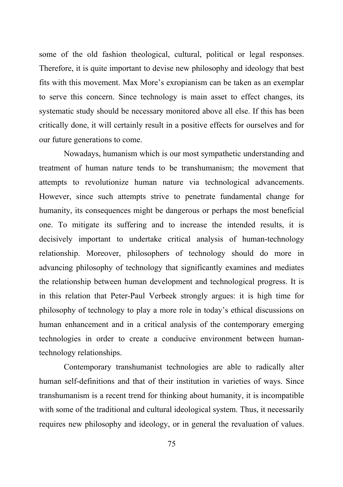some of the old fashion theological, cultural, political or legal responses. Therefore, it is quite important to devise new philosophy and ideology that best fits with this movement. Max More's exropianism can be taken as an exemplar to serve this concern. Since technology is main asset to effect changes, its systematic study should be necessary monitored above all else. If this has been critically done, it will certainly result in a positive effects for ourselves and for our future generations to come.

Nowadays, humanism which is our most sympathetic understanding and treatment of human nature tends to be transhumanism; the movement that attempts to revolutionize human nature via technological advancements. However, since such attempts strive to penetrate fundamental change for humanity, its consequences might be dangerous or perhaps the most beneficial one. To mitigate its suffering and to increase the intended results, it is decisively important to undertake critical analysis of human-technology relationship. Moreover, philosophers of technology should do more in advancing philosophy of technology that significantly examines and mediates the relationship between human development and technological progress. It is in this relation that Peter-Paul Verbeek strongly argues: it is high time for philosophy of technology to play a more role in today's ethical discussions on human enhancement and in a critical analysis of the contemporary emerging technologies in order to create a conducive environment between humantechnology relationships.

Contemporary transhumanist technologies are able to radically alter human self-definitions and that of their institution in varieties of ways. Since transhumanism is a recent trend for thinking about humanity, it is incompatible with some of the traditional and cultural ideological system. Thus, it necessarily requires new philosophy and ideology, or in general the revaluation of values.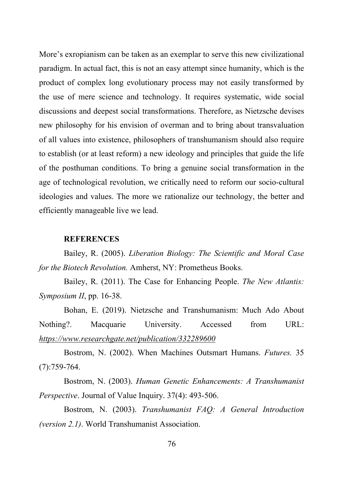More's exropianism can be taken as an exemplar to serve this new civilizational paradigm. In actual fact, this is not an easy attempt since humanity, which is the product of complex long evolutionary process may not easily transformed by the use of mere science and technology. It requires systematic, wide social discussions and deepest social transformations. Therefore, as Nietzsche devises new philosophy for his envision of overman and to bring about transvaluation of all values into existence, philosophers of transhumanism should also require to establish (or at least reform) a new ideology and principles that guide the life of the posthuman conditions. To bring a genuine social transformation in the age of technological revolution, we critically need to reform our socio-cultural ideologies and values. The more we rationalize our technology, the better and efficiently manageable live we lead.

#### **REFERENCES**

Bailey, R. (2005). *Liberation Biology: The Scientific and Moral Case for the Biotech Revolution.* Amherst, NY: Prometheus Books.

Bailey, R. (2011). The Case for Enhancing People. *The New Atlantis: Symposium II*, pp. 16-38.

Bohan, E. (2019). Nietzsche and Transhumanism: Much Ado About Nothing?. Macquarie University. Accessed from URL: *https://www.researchgate.net/publication/332289600*

Bostrom, N. (2002). When Machines Outsmart Humans. *Futures.* 35 (7):759-764.

Bostrom, N. (2003). *Human Genetic Enhancements: A Transhumanist Perspective*. Journal of Value Inquiry. 37(4): 493-506.

Bostrom, N. (2003). *Transhumanist FAQ: A General Introduction (version 2.1)*. World Transhumanist Association.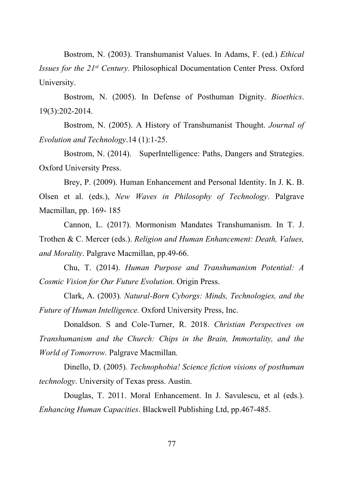Bostrom, N. (2003). Transhumanist Values. In Adams, F. (ed.) *Ethical Issues for the 21st Century.* Philosophical Documentation Center Press. Oxford University.

Bostrom, N. (2005). In Defense of Posthuman Dignity. *Bioethics*. 19(3):202-2014.

Bostrom, N. (2005). A History of Transhumanist Thought. *Journal of Evolution and Technology*.14 (1):1-25.

Bostrom, N. (2014). SuperIntelligence: Paths, Dangers and Strategies. Oxford University Press.

Brey, P. (2009). Human Enhancement and Personal Identity. In J. K. B. Olsen et al. (eds.), *New Waves in Philosophy of Technology*. Palgrave Macmillan, pp. 169- 185

Cannon, L. (2017). Mormonism Mandates Transhumanism. In T. J. Trothen & C. Mercer (eds.). *Religion and Human Enhancement: Death, Values, and Morality*. Palgrave Macmillan, pp.49-66.

Chu, T. (2014). *Human Purpose and Transhumanism Potential: A Cosmic Vision for Our Future Evolution*. Origin Press.

Clark, A. (2003)*. Natural-Born Cyborgs: Minds, Technologies, and the Future of Human Intelligence.* Oxford University Press, Inc.

Donaldson. S and Cole-Turner, R. 2018. *Christian Perspectives on Transhumanism and the Church: Chips in the Brain, Immortality, and the World of Tomorrow.* Palgrave Macmillan*.* 

Dinello, D. (2005). *Technophobia! Science fiction visions of posthuman technology*. University of Texas press. Austin.

Douglas, T. 2011. Moral Enhancement. In J. Savulescu, et al (eds.). *Enhancing Human Capacities*. Blackwell Publishing Ltd, pp.467-485.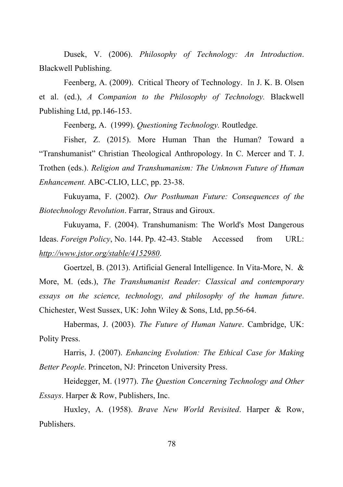Dusek, V. (2006). *Philosophy of Technology: An Introduction*. Blackwell Publishing.

Feenberg, A. (2009). Critical Theory of Technology.In J. K. B. Olsen et al. (ed.), *A Companion to the Philosophy of Technology.* Blackwell Publishing Ltd, pp.146-153.

Feenberg, A. (1999). *Questioning Technology.* Routledge.

Fisher, Z. (2015). More Human Than the Human? Toward a "Transhumanist" Christian Theological Anthropology. In C. Mercer and T. J. Trothen (eds.). *Religion and Transhumanism: The Unknown Future of Human Enhancement.* ABC-CLIO, LLC, pp. 23-38.

Fukuyama, F. (2002). *Our Posthuman Future: Consequences of the Biotechnology Revolution*. Farrar, Straus and Giroux.

Fukuyama, F. (2004). Transhumanism: The World's Most Dangerous Ideas. *Foreign Policy*, No. 144. Pp. 42-43. Stable Accessed from URL: *http://www.jstor.org/stable/4152980*.

Goertzel, B. (2013). Artificial General Intelligence. In Vita-More, N. & More, M. (eds.), *The Transhumanist Reader: Classical and contemporary essays on the science, technology, and philosophy of the human future*. Chichester, West Sussex, UK: John Wiley & Sons, Ltd, pp.56-64.

Habermas, J. (2003). *The Future of Human Nature*. Cambridge, UK: Polity Press.

Harris, J. (2007). *Enhancing Evolution: The Ethical Case for Making Better People*. Princeton, NJ: Princeton University Press.

Heidegger, M. (1977). *The Question Concerning Technology and Other Essays*. Harper & Row, Publishers, Inc.

Huxley, A. (1958). *Brave New World Revisited*. Harper & Row, Publishers.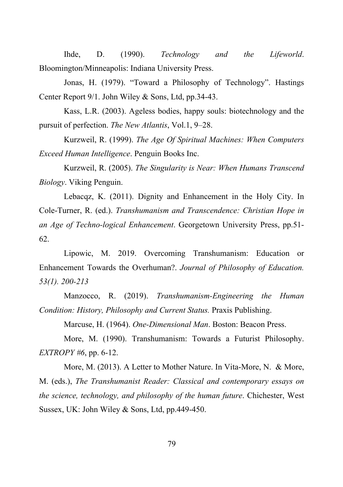Ihde, D. (1990). *Technology and the Lifeworld*. Bloomington/Minneapolis: Indiana University Press.

Jonas, H. (1979). "Toward a Philosophy of Technology". Hastings Center Report 9/1. John Wiley & Sons, Ltd, pp.34-43.

Kass, L.R. (2003). Ageless bodies, happy souls: biotechnology and the pursuit of perfection. *The New Atlantis*, Vol.1, 9–28.

Kurzweil, R. (1999). *The Age Of Spiritual Machines: When Computers Exceed Human Intelligence*. Penguin Books Inc.

Kurzweil, R. (2005). *The Singularity is Near: When Humans Transcend Biology*. Viking Penguin.

Lebacqz, K. (2011). Dignity and Enhancement in the Holy City. In Cole-Turner, R. (ed.). *Transhumanism and Transcendence: Christian Hope in an Age of Techno-logical Enhancement*. Georgetown University Press, pp.51- 62.

Lipowic, M. 2019. Overcoming Transhumanism: Education or Enhancement Towards the Overhuman?. *Journal of Philosophy of Education. 53(1). 200-213*

Manzocco, R. (2019). *Transhumanism-Engineering the Human Condition: History, Philosophy and Current Status.* Praxis Publishing.

Marcuse, H. (1964). *One-Dimensional Man*. Boston: Beacon Press.

More, M. (1990). Transhumanism: Towards a Futurist Philosophy. *EXTROPY #6*, pp. 6-12.

More, M. (2013). A Letter to Mother Nature. In Vita-More, N. & More, M. (eds.), *The Transhumanist Reader: Classical and contemporary essays on the science, technology, and philosophy of the human future*. Chichester, West Sussex, UK: John Wiley & Sons, Ltd, pp.449-450.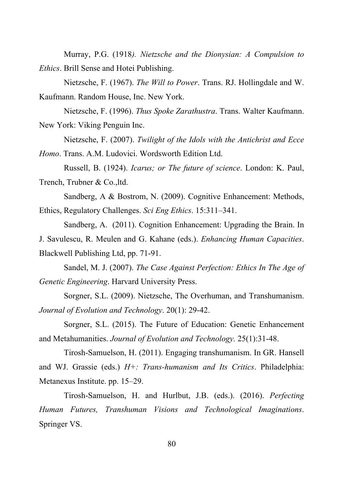Murray, P.G. (1918*). Nietzsche and the Dionysian: A Compulsion to Ethics*. Brill Sense and Hotei Publishing.

Nietzsche, F. (1967). *The Will to Power*. Trans. RJ. Hollingdale and W. Kaufmann. Random House, Inc. New York.

Nietzsche, F. (1996). *Thus Spoke Zarathustra*. Trans. Walter Kaufmann. New York: Viking Penguin Inc.

Nietzsche, F. (2007). *Twilight of the Idols with the Antichrist and Ecce* 

*Homo*. Trans. A.M. Ludovici. Wordsworth Edition Ltd.

Russell, B. (1924). *Icarus; or The future of science*. London: K. Paul, Trench, Trubner & Co.,ltd.

Sandberg, A & Bostrom, N. (2009). Cognitive Enhancement: Methods, Ethics, Regulatory Challenges. *Sci Eng Ethics*. 15:311–341.

Sandberg, A. (2011). Cognition Enhancement: Upgrading the Brain. In J. Savulescu, R. Meulen and G. Kahane (eds.). *Enhancing Human Capacities*. Blackwell Publishing Ltd, pp. 71-91.

Sandel, M. J. (2007). *The Case Against Perfection: Ethics In The Age of Genetic Engineering*. Harvard University Press.

Sorgner, S.L. (2009). Nietzsche, The Overhuman, and Transhumanism. *Journal of Evolution and Technology*. 20(1): 29-42.

Sorgner, S.L. (2015). The Future of Education: Genetic Enhancement and Metahumanities. *Journal of Evolution and Technology.* 25(1):31-48.

Tirosh-Samuelson, H. (2011). Engaging transhumanism. In GR. Hansell and WJ. Grassie (eds.) *H+: Trans-humanism and Its Critics*. Philadelphia: Metanexus Institute. pp. 15–29.

Tirosh-Samuelson, H. and Hurlbut, J.B. (eds.). (2016). *Perfecting Human Futures, Transhuman Visions and Technological Imaginations*. Springer VS.